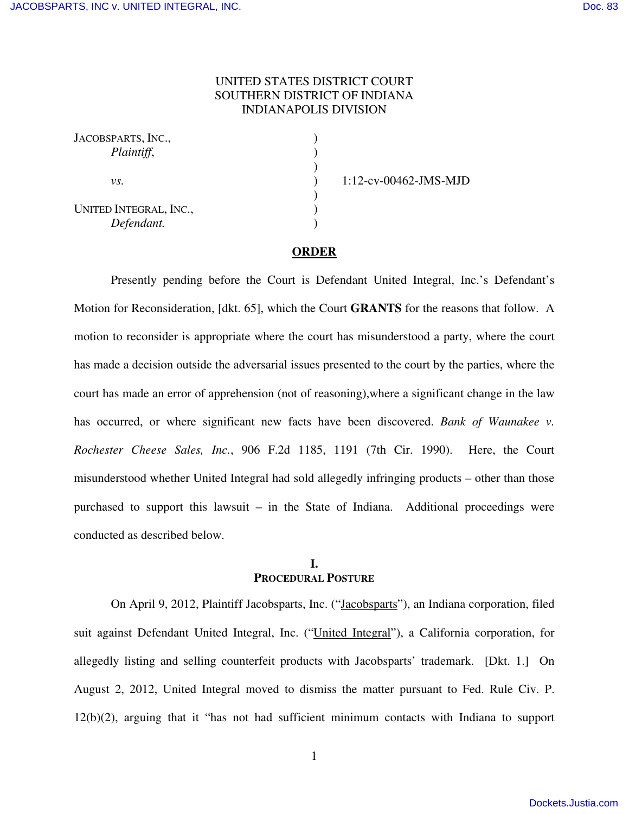## UNITED STATES DISTRICT COURT SOUTHERN DISTRICT OF INDIANA INDIANAPOLIS DIVISION

| JACOBSPARTS, INC.,<br>Plaintiff,     |  |
|--------------------------------------|--|
| VS.                                  |  |
| UNITED INTEGRAL, INC.,<br>Defendant. |  |

1:12-cv-00462-JMS-MJD

#### **ORDER**

Presently pending before the Court is Defendant United Integral, Inc.'s Defendant's Motion for Reconsideration, [dkt. 65], which the Court **GRANTS** for the reasons that follow. A motion to reconsider is appropriate where the court has misunderstood a party, where the court has made a decision outside the adversarial issues presented to the court by the parties, where the court has made an error of apprehension (not of reasoning),where a significant change in the law has occurred, or where significant new facts have been discovered. *Bank of Waunakee v. Rochester Cheese Sales, Inc.*, 906 F.2d 1185, 1191 (7th Cir. 1990). Here, the Court misunderstood whether United Integral had sold allegedly infringing products – other than those purchased to support this lawsuit – in the State of Indiana. Additional proceedings were conducted as described below.

### **I. PROCEDURAL POSTURE**

On April 9, 2012, Plaintiff Jacobsparts, Inc. ("Jacobsparts"), an Indiana corporation, filed suit against Defendant United Integral, Inc. ("United Integral"), a California corporation, for allegedly listing and selling counterfeit products with Jacobsparts' trademark. [Dkt. 1.] On August 2, 2012, United Integral moved to dismiss the matter pursuant to Fed. Rule Civ. P. 12(b)(2), arguing that it "has not had sufficient minimum contacts with Indiana to support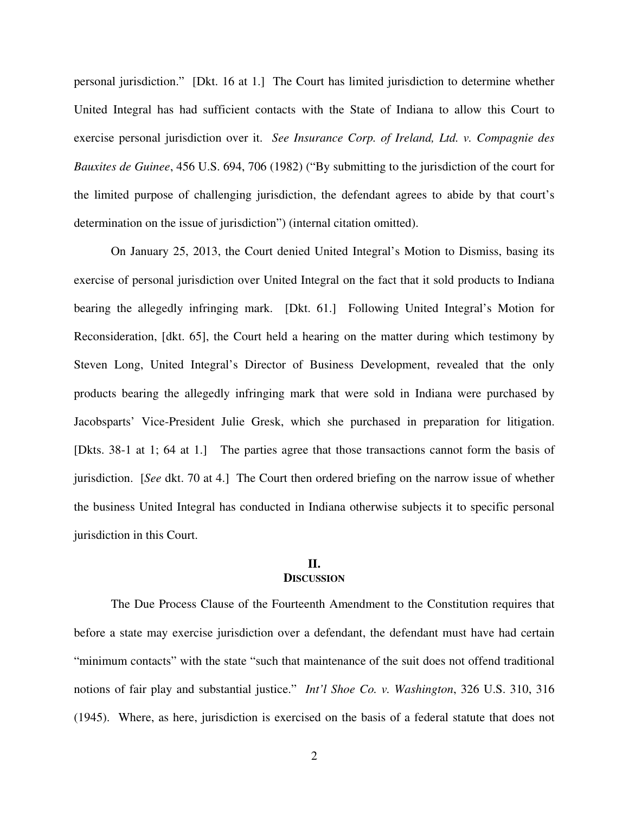personal jurisdiction." [Dkt. 16 at 1.] The Court has limited jurisdiction to determine whether United Integral has had sufficient contacts with the State of Indiana to allow this Court to exercise personal jurisdiction over it. *See Insurance Corp. of Ireland, Ltd. v. Compagnie des Bauxites de Guinee*, 456 U.S. 694, 706 (1982) ("By submitting to the jurisdiction of the court for the limited purpose of challenging jurisdiction, the defendant agrees to abide by that court's determination on the issue of jurisdiction") (internal citation omitted).

On January 25, 2013, the Court denied United Integral's Motion to Dismiss, basing its exercise of personal jurisdiction over United Integral on the fact that it sold products to Indiana bearing the allegedly infringing mark. [Dkt. 61.] Following United Integral's Motion for Reconsideration, [dkt. 65], the Court held a hearing on the matter during which testimony by Steven Long, United Integral's Director of Business Development, revealed that the only products bearing the allegedly infringing mark that were sold in Indiana were purchased by Jacobsparts' Vice-President Julie Gresk, which she purchased in preparation for litigation. [Dkts. 38-1 at 1; 64 at 1.] The parties agree that those transactions cannot form the basis of jurisdiction. [*See* dkt. 70 at 4.] The Court then ordered briefing on the narrow issue of whether the business United Integral has conducted in Indiana otherwise subjects it to specific personal jurisdiction in this Court.

### **II. DISCUSSION**

The Due Process Clause of the Fourteenth Amendment to the Constitution requires that before a state may exercise jurisdiction over a defendant, the defendant must have had certain "minimum contacts" with the state "such that maintenance of the suit does not offend traditional notions of fair play and substantial justice." *Int'l Shoe Co. v. Washington*, 326 U.S. 310, 316 (1945). Where, as here, jurisdiction is exercised on the basis of a federal statute that does not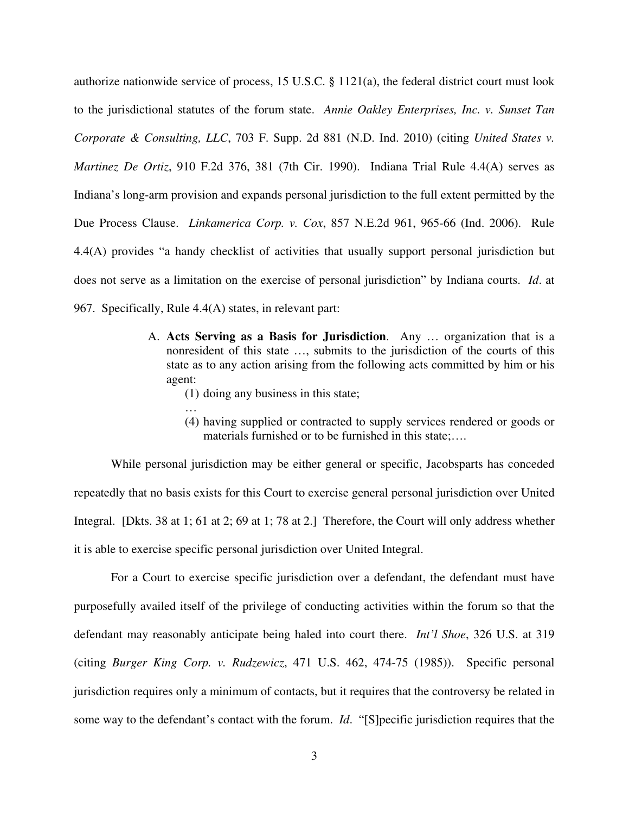authorize nationwide service of process, 15 U.S.C. § 1121(a), the federal district court must look to the jurisdictional statutes of the forum state. *Annie Oakley Enterprises, Inc. v. Sunset Tan Corporate & Consulting, LLC*, 703 F. Supp. 2d 881 (N.D. Ind. 2010) (citing *United States v. Martinez De Ortiz*, 910 F.2d 376, 381 (7th Cir. 1990). Indiana Trial Rule 4.4(A) serves as Indiana's long-arm provision and expands personal jurisdiction to the full extent permitted by the Due Process Clause. *Linkamerica Corp. v. Cox*, 857 N.E.2d 961, 965-66 (Ind. 2006). Rule 4.4(A) provides "a handy checklist of activities that usually support personal jurisdiction but does not serve as a limitation on the exercise of personal jurisdiction" by Indiana courts. *Id*. at 967. Specifically, Rule 4.4(A) states, in relevant part:

- A. **Acts Serving as a Basis for Jurisdiction**. Any … organization that is a nonresident of this state …, submits to the jurisdiction of the courts of this state as to any action arising from the following acts committed by him or his agent:
	- (1) doing any business in this state;
	- … (4) having supplied or contracted to supply services rendered or goods or materials furnished or to be furnished in this state;….

While personal jurisdiction may be either general or specific, Jacobsparts has conceded repeatedly that no basis exists for this Court to exercise general personal jurisdiction over United Integral. [Dkts. 38 at 1; 61 at 2; 69 at 1; 78 at 2.] Therefore, the Court will only address whether it is able to exercise specific personal jurisdiction over United Integral.

For a Court to exercise specific jurisdiction over a defendant, the defendant must have purposefully availed itself of the privilege of conducting activities within the forum so that the defendant may reasonably anticipate being haled into court there. *Int'l Shoe*, 326 U.S. at 319 (citing *Burger King Corp. v. Rudzewicz*, 471 U.S. 462, 474-75 (1985)). Specific personal jurisdiction requires only a minimum of contacts, but it requires that the controversy be related in some way to the defendant's contact with the forum. *Id*. "[S]pecific jurisdiction requires that the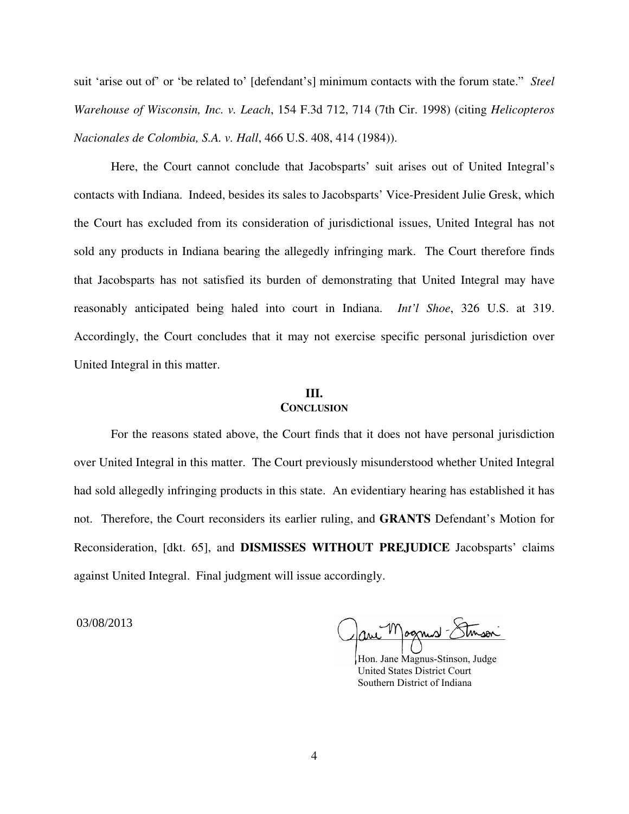suit 'arise out of' or 'be related to' [defendant's] minimum contacts with the forum state." *Steel Warehouse of Wisconsin, Inc. v. Leach*, 154 F.3d 712, 714 (7th Cir. 1998) (citing *Helicopteros Nacionales de Colombia, S.A. v. Hall*, 466 U.S. 408, 414 (1984)).

Here, the Court cannot conclude that Jacobsparts' suit arises out of United Integral's contacts with Indiana. Indeed, besides its sales to Jacobsparts' Vice-President Julie Gresk, which the Court has excluded from its consideration of jurisdictional issues, United Integral has not sold any products in Indiana bearing the allegedly infringing mark. The Court therefore finds that Jacobsparts has not satisfied its burden of demonstrating that United Integral may have reasonably anticipated being haled into court in Indiana. *Int'l Shoe*, 326 U.S. at 319. Accordingly, the Court concludes that it may not exercise specific personal jurisdiction over United Integral in this matter.

#### **III. CONCLUSION**

For the reasons stated above, the Court finds that it does not have personal jurisdiction over United Integral in this matter. The Court previously misunderstood whether United Integral had sold allegedly infringing products in this state. An evidentiary hearing has established it has not. Therefore, the Court reconsiders its earlier ruling, and **GRANTS** Defendant's Motion for Reconsideration, [dkt. 65], and **DISMISSES WITHOUT PREJUDICE** Jacobsparts' claims against United Integral. Final judgment will issue accordingly.

03/08/2013

 $\gamma$ 

 Hon. Jane Magnus-Stinson, Judge United States District Court Southern District of Indiana